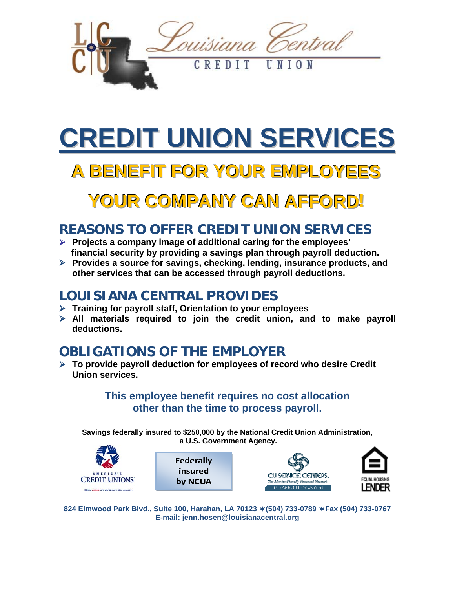

# **CREDIT UNION SERVICES**

# **AA BBEENNEEFFIITT FFOORR YYOOUURR EEMMPPLLOOYYEEEESS**

## **YOUR COMPANY CAN AFFORD!**

### **REASONS TO OFFER CREDIT UNION SERVICES**

- ¾ **Projects a company image of additional caring for the employees' financial security by providing a savings plan through payroll deduction.**
- ¾ **Provides a source for savings, checking, lending, insurance products, and other services that can be accessed through payroll deductions.**

#### **LOUISIANA CENTRAL PROVIDES**

- ¾ **Training for payroll staff, Orientation to your employees**
- ¾ **All materials required to join the credit union, and to make payroll deductions.**

## **OBLIGATIONS OF THE EMPLOYER**

¾ **To provide payroll deduction for employees of record who desire Credit Union services.** 

> **This employee benefit requires no cost allocation other than the time to process payroll.**

**Savings federally insured to \$250,000 by the National Credit Union Administration, a U.S. Government Agency.** 



| Federally |
|-----------|
| insured   |
| by NCUA   |





**824 Elmwood Park Blvd., Suite 100, Harahan, LA 70123 (504) 733-0789 Fax (504) 733-0767 E-mail: jenn.hosen@louisianacentral.org**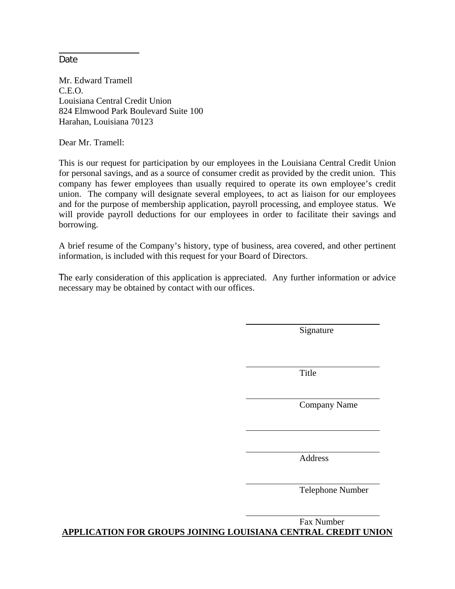Date

Mr. Edward Tramell C.E.O. Louisiana Central Credit Union 824 Elmwood Park Boulevard Suite 100 Harahan, Louisiana 70123

Dear Mr. Tramell:

This is our request for participation by our employees in the Louisiana Central Credit Union for personal savings, and as a source of consumer credit as provided by the credit union. This company has fewer employees than usually required to operate its own employee's credit union. The company will designate several employees, to act as liaison for our employees and for the purpose of membership application, payroll processing, and employee status. We will provide payroll deductions for our employees in order to facilitate their savings and borrowing.

A brief resume of the Company's history, type of business, area covered, and other pertinent information, is included with this request for your Board of Directors.

The early consideration of this application is appreciated. Any further information or advice necessary may be obtained by contact with our offices.

Signature

**Title** 

Company Name

Address

Telephone Number

 Fax Number **APPLICATION FOR GROUPS JOINING LOUISIANA CENTRAL CREDIT UNION**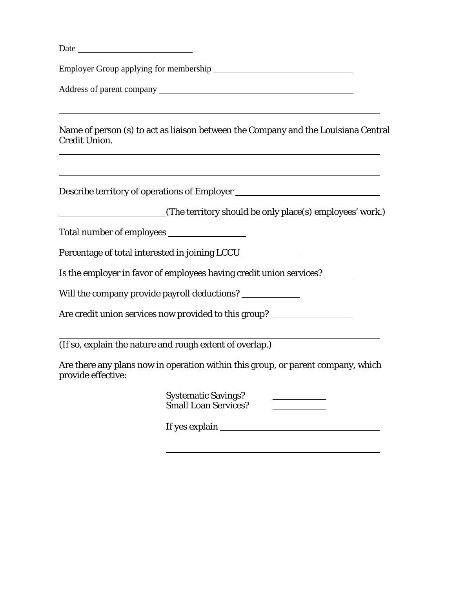| Date                                                                                                                                                                  |
|-----------------------------------------------------------------------------------------------------------------------------------------------------------------------|
|                                                                                                                                                                       |
|                                                                                                                                                                       |
| Name of person (s) to act as liaison between the Company and the Louisiana Central<br><b>Credit Union.</b>                                                            |
| ,我们也不会有一个人的人,我们也不会有一个人的人,我们也不会有一个人的人。""我们,我们也不会有一个人的人,我们也不会有一个人的人,我们也不会有一个人的人。""我<br>Describe territory of operations of Employer ___________________________________ |
| (The territory should be only place(s) employees' work.)                                                                                                              |
|                                                                                                                                                                       |
| Percentage of total interested in joining LCCU                                                                                                                        |
| Is the employer in favor of employees having credit union services? ______                                                                                            |
| Will the company provide payroll deductions? _______________                                                                                                          |
| Are credit union services now provided to this group? __________________________                                                                                      |
| (If so, explain the nature and rough extent of overlap.)                                                                                                              |
| Are there any plans now in operation within this group, or parent company, which<br>provide effective:                                                                |
| <b>Systematic Savings?</b><br><b>Small Loan Services?</b>                                                                                                             |

l

If yes explain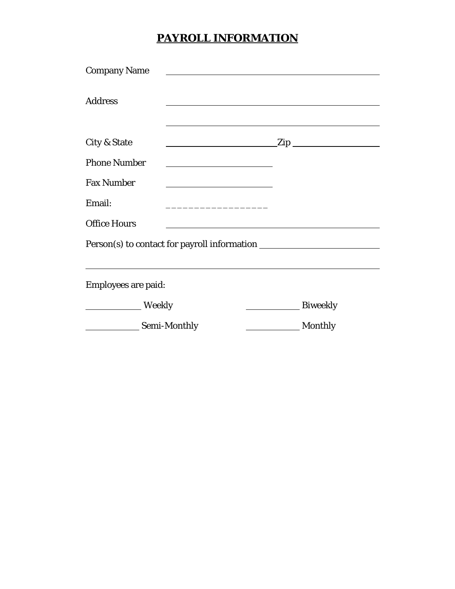#### **PAYROLL INFORMATION**

| <b>Company Name</b>                                                              |                 |
|----------------------------------------------------------------------------------|-----------------|
| <b>Address</b>                                                                   |                 |
| City & State<br>$\sqrt{2ip}$                                                     |                 |
| <b>Phone Number</b>                                                              |                 |
| <b>Fax Number</b>                                                                |                 |
| Email:                                                                           |                 |
| <b>Office Hours</b>                                                              |                 |
| Person(s) to contact for payroll information ___________________________________ |                 |
| <b>Employees are paid:</b>                                                       |                 |
| <b>Example 1</b> Weekly                                                          | <b>Biweekly</b> |
| Semi-Monthly                                                                     | <b>Monthly</b>  |